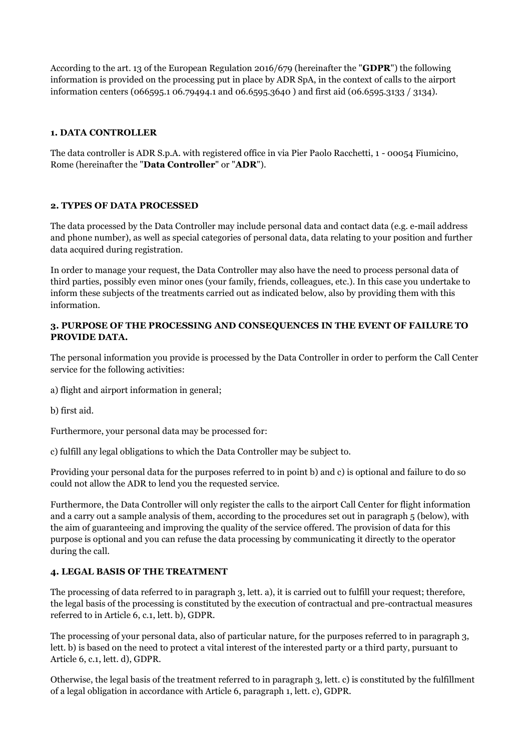According to the art. 13 of the European Regulation 2016/679 (hereinafter the "**GDPR**") the following information is provided on the processing put in place by ADR SpA, in the context of calls to the airport information centers (066595.1 06.79494.1 and 06.6595.3640 ) and first aid (06.6595.3133 / 3134).

### **1. DATA CONTROLLER**

The data controller is ADR S.p.A. with registered office in via Pier Paolo Racchetti, 1 - 00054 Fiumicino, Rome (hereinafter the "**Data Controller**" or "**ADR**").

### **2. TYPES OF DATA PROCESSED**

The data processed by the Data Controller may include personal data and contact data (e.g. e-mail address and phone number), as well as special categories of personal data, data relating to your position and further data acquired during registration.

In order to manage your request, the Data Controller may also have the need to process personal data of third parties, possibly even minor ones (your family, friends, colleagues, etc.). In this case you undertake to inform these subjects of the treatments carried out as indicated below, also by providing them with this information.

### **3. PURPOSE OF THE PROCESSING AND CONSEQUENCES IN THE EVENT OF FAILURE TO PROVIDE DATA.**

The personal information you provide is processed by the Data Controller in order to perform the Call Center service for the following activities:

a) flight and airport information in general;

b) first aid.

Furthermore, your personal data may be processed for:

c) fulfill any legal obligations to which the Data Controller may be subject to.

Providing your personal data for the purposes referred to in point b) and c) is optional and failure to do so could not allow the ADR to lend you the requested service.

Furthermore, the Data Controller will only register the calls to the airport Call Center for flight information and a carry out a sample analysis of them, according to the procedures set out in paragraph 5 (below), with the aim of guaranteeing and improving the quality of the service offered. The provision of data for this purpose is optional and you can refuse the data processing by communicating it directly to the operator during the call.

# **4. LEGAL BASIS OF THE TREATMENT**

The processing of data referred to in paragraph 3, lett. a), it is carried out to fulfill your request; therefore, the legal basis of the processing is constituted by the execution of contractual and pre-contractual measures referred to in Article 6, c.1, lett. b), GDPR.

The processing of your personal data, also of particular nature, for the purposes referred to in paragraph 3, lett. b) is based on the need to protect a vital interest of the interested party or a third party, pursuant to Article 6, c.1, lett. d), GDPR.

Otherwise, the legal basis of the treatment referred to in paragraph 3, lett. c) is constituted by the fulfillment of a legal obligation in accordance with Article 6, paragraph 1, lett. c), GDPR.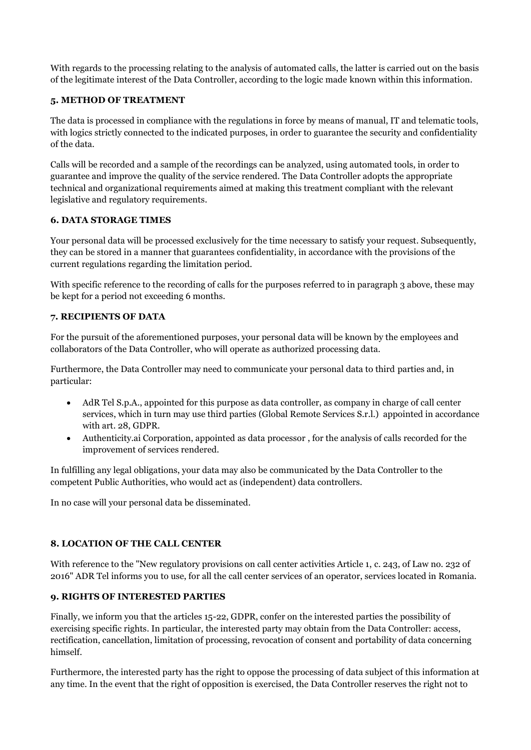With regards to the processing relating to the analysis of automated calls, the latter is carried out on the basis of the legitimate interest of the Data Controller, according to the logic made known within this information.

### **5. METHOD OF TREATMENT**

The data is processed in compliance with the regulations in force by means of manual, IT and telematic tools, with logics strictly connected to the indicated purposes, in order to guarantee the security and confidentiality of the data.

Calls will be recorded and a sample of the recordings can be analyzed, using automated tools, in order to guarantee and improve the quality of the service rendered. The Data Controller adopts the appropriate technical and organizational requirements aimed at making this treatment compliant with the relevant legislative and regulatory requirements.

### **6. DATA STORAGE TIMES**

Your personal data will be processed exclusively for the time necessary to satisfy your request. Subsequently, they can be stored in a manner that guarantees confidentiality, in accordance with the provisions of the current regulations regarding the limitation period.

With specific reference to the recording of calls for the purposes referred to in paragraph 3 above, these may be kept for a period not exceeding 6 months.

### **7. RECIPIENTS OF DATA**

For the pursuit of the aforementioned purposes, your personal data will be known by the employees and collaborators of the Data Controller, who will operate as authorized processing data.

Furthermore, the Data Controller may need to communicate your personal data to third parties and, in particular:

- AdR Tel S.p.A., appointed for this purpose as data controller, as company in charge of call center services, which in turn may use third parties (Global Remote Services S.r.l.) appointed in accordance with art. 28, GDPR.
- Authenticity.ai Corporation, appointed as data processor , for the analysis of calls recorded for the improvement of services rendered.

In fulfilling any legal obligations, your data may also be communicated by the Data Controller to the competent Public Authorities, who would act as (independent) data controllers.

In no case will your personal data be disseminated.

# **8. LOCATION OF THE CALL CENTER**

With reference to the "New regulatory provisions on call center activities Article 1, c. 243, of Law no. 232 of 2016" ADR Tel informs you to use, for all the call center services of an operator, services located in Romania.

#### **9. RIGHTS OF INTERESTED PARTIES**

Finally, we inform you that the articles 15-22, GDPR, confer on the interested parties the possibility of exercising specific rights. In particular, the interested party may obtain from the Data Controller: access, rectification, cancellation, limitation of processing, revocation of consent and portability of data concerning himself.

Furthermore, the interested party has the right to oppose the processing of data subject of this information at any time. In the event that the right of opposition is exercised, the Data Controller reserves the right not to